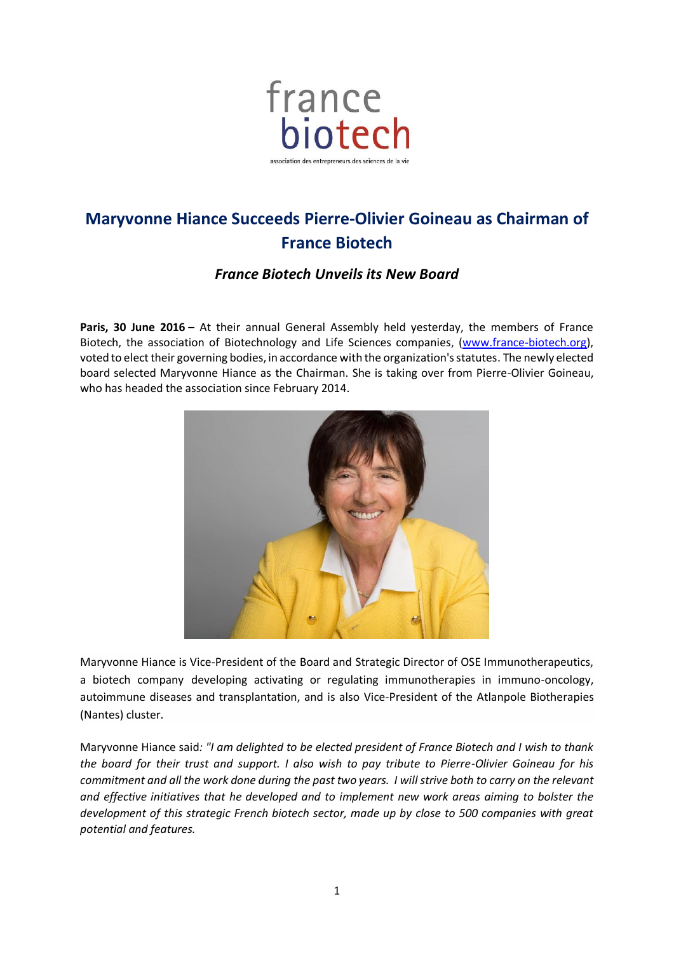

## **Maryvonne Hiance Succeeds Pierre-Olivier Goineau as Chairman of France Biotech**

## *France Biotech Unveils its New Board*

Paris, 30 June 2016 – At their annual General Assembly held yesterday, the members of France Biotech, the association of Biotechnology and Life Sciences companies, (www.france-biotech.org), voted to elect their governing bodies, in accordance with the organization's statutes. The newly elected board selected Maryvonne Hiance as the Chairman. She is taking over from Pierre-Olivier Goineau, who has headed the association since February 2014.



Maryvonne Hiance is Vice-President of the Board and Strategic Director of OSE Immunotherapeutics, a biotech company developing activating or regulating immunotherapies in immuno-oncology, autoimmune diseases and transplantation, and is also Vice-President of the Atlanpole Biotherapies (Nantes) cluster.

Maryvonne Hiance said*: "I am delighted to be elected president of France Biotech and I wish to thank the board for their trust and support. I also wish to pay tribute to Pierre-Olivier Goineau for his commitment and all the work done during the past two years. I will strive both to carry on the relevant and effective initiatives that he developed and to implement new work areas aiming to bolster the development of this strategic French biotech sector, made up by close to 500 companies with great potential and features.*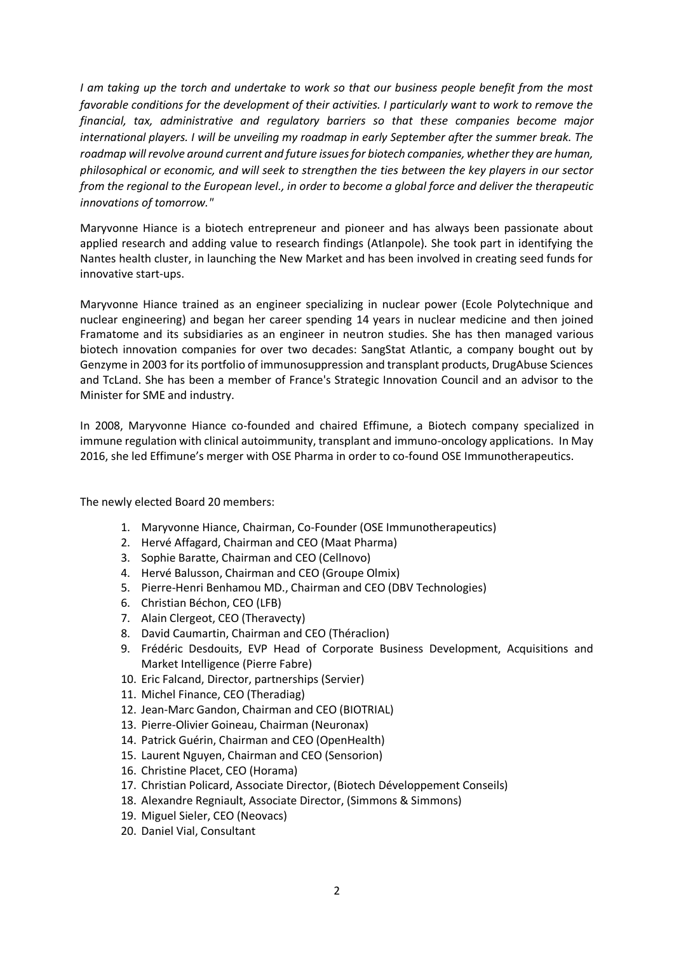*I am taking up the torch and undertake to work so that our business people benefit from the most favorable conditions for the development of their activities. I particularly want to work to remove the financial, tax, administrative and regulatory barriers so that these companies become major international players. I will be unveiling my roadmap in early September after the summer break. The roadmap will revolve around current and future issues for biotech companies, whether they are human, philosophical or economic, and will seek to strengthen the ties between the key players in our sector from the regional to the European level., in order to become a global force and deliver the therapeutic innovations of tomorrow."* 

Maryvonne Hiance is a biotech entrepreneur and pioneer and has always been passionate about applied research and adding value to research findings (Atlanpole). She took part in identifying the Nantes health cluster, in launching the New Market and has been involved in creating seed funds for innovative start-ups.

Maryvonne Hiance trained as an engineer specializing in nuclear power (Ecole Polytechnique and nuclear engineering) and began her career spending 14 years in nuclear medicine and then joined Framatome and its subsidiaries as an engineer in neutron studies. She has then managed various biotech innovation companies for over two decades: SangStat Atlantic, a company bought out by Genzyme in 2003 for its portfolio of immunosuppression and transplant products, DrugAbuse Sciences and TcLand. She has been a member of France's Strategic Innovation Council and an advisor to the Minister for SME and industry.

In 2008, Maryvonne Hiance co-founded and chaired Effimune, a Biotech company specialized in immune regulation with clinical autoimmunity, transplant and immuno-oncology applications. In May 2016, she led Effimune's merger with OSE Pharma in order to co-found OSE Immunotherapeutics.

The newly elected Board 20 members:

- 1. Maryvonne Hiance, Chairman, Co-Founder (OSE Immunotherapeutics)
- 2. Hervé Affagard, Chairman and CEO (Maat Pharma)
- 3. Sophie Baratte, Chairman and CEO (Cellnovo)
- 4. Hervé Balusson, Chairman and CEO (Groupe Olmix)
- 5. Pierre-Henri Benhamou MD., Chairman and CEO (DBV Technologies)
- 6. Christian Béchon, CEO (LFB)
- 7. Alain Clergeot, CEO (Theravecty)
- 8. David Caumartin, Chairman and CEO (Théraclion)
- 9. Frédéric Desdouits, EVP Head of Corporate Business Development, Acquisitions and Market Intelligence (Pierre Fabre)
- 10. Eric Falcand, Director, partnerships (Servier)
- 11. Michel Finance, CEO (Theradiag)
- 12. Jean-Marc Gandon, Chairman and CEO (BIOTRIAL)
- 13. Pierre-Olivier Goineau, Chairman (Neuronax)
- 14. Patrick Guérin, Chairman and CEO (OpenHealth)
- 15. Laurent Nguyen, Chairman and CEO (Sensorion)
- 16. Christine Placet, CEO (Horama)
- 17. Christian Policard, Associate Director, (Biotech Développement Conseils)
- 18. Alexandre Regniault, Associate Director, (Simmons & Simmons)
- 19. Miguel Sieler, CEO (Neovacs)
- 20. Daniel Vial, Consultant